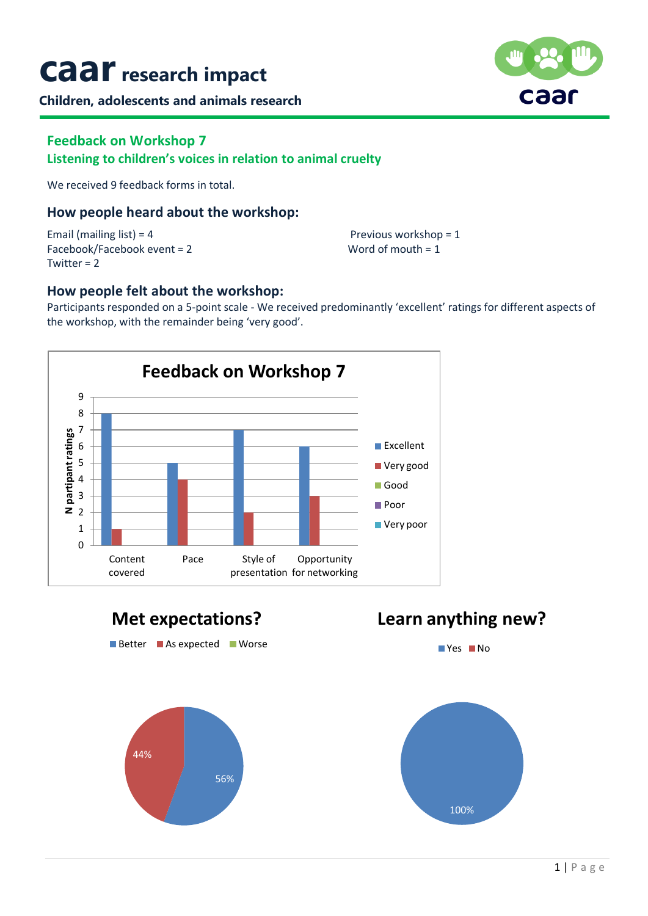# **caarresearch impact**

**Children, adolescents and animals research**



### **Feedback on Workshop 7 Listening to children's voices in relation to animal cruelty**

We received 9 feedback forms in total.

### **How people heard about the workshop:**

Email (mailing list) = 4 Previous workshop = 1 Facebook/Facebook event = 2 Word of mouth = 1 Twitter  $= 2$ 

### **How people felt about the workshop:**

Participants responded on a 5-point scale - We received predominantly 'excellent' ratings for different aspects of the workshop, with the remainder being 'very good'.





## **Learn anything new?**

**No** Yes **No**